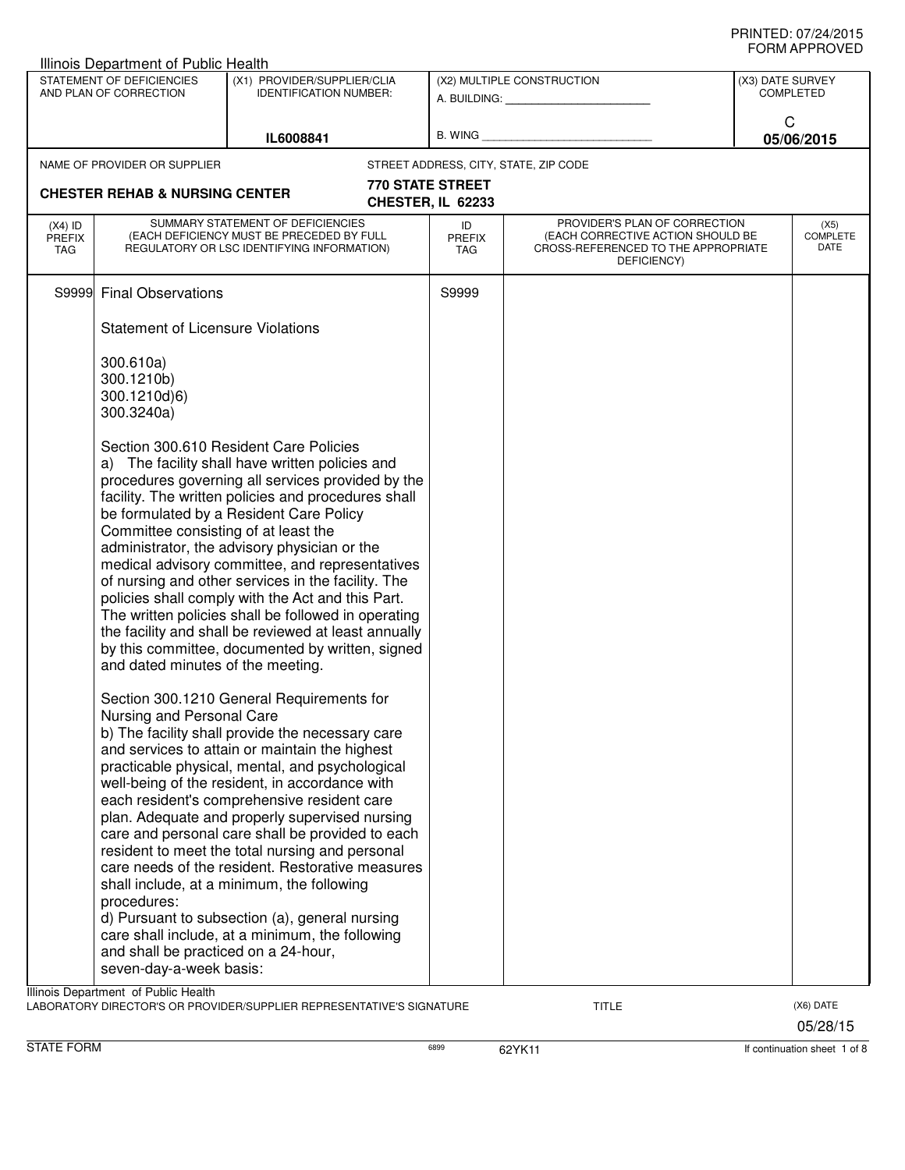|                                   | STATEMENT OF DEFICIENCIES<br>AND PLAN OF CORRECTION                       | (X1) PROVIDER/SUPPLIER/CLIA<br>IDENTIFICATION NUMBER:                                                                                                                                                                                                                                                                                                                                                                                                                                                                                                                                                                             |                                       | (X2) MULTIPLE CONSTRUCTION<br>A. BUILDING: A.                                                                            | (X3) DATE SURVEY<br><b>COMPLETED</b> |
|-----------------------------------|---------------------------------------------------------------------------|-----------------------------------------------------------------------------------------------------------------------------------------------------------------------------------------------------------------------------------------------------------------------------------------------------------------------------------------------------------------------------------------------------------------------------------------------------------------------------------------------------------------------------------------------------------------------------------------------------------------------------------|---------------------------------------|--------------------------------------------------------------------------------------------------------------------------|--------------------------------------|
|                                   |                                                                           | IL6008841                                                                                                                                                                                                                                                                                                                                                                                                                                                                                                                                                                                                                         | <b>B. WING</b>                        |                                                                                                                          | C<br>05/06/2015                      |
|                                   | NAME OF PROVIDER OR SUPPLIER                                              |                                                                                                                                                                                                                                                                                                                                                                                                                                                                                                                                                                                                                                   |                                       | STREET ADDRESS, CITY, STATE, ZIP CODE                                                                                    |                                      |
|                                   | <b>CHESTER REHAB &amp; NURSING CENTER</b>                                 |                                                                                                                                                                                                                                                                                                                                                                                                                                                                                                                                                                                                                                   | 770 STATE STREET<br>CHESTER, IL 62233 |                                                                                                                          |                                      |
| $(X4)$ ID<br><b>PREFIX</b><br>TAG |                                                                           | SUMMARY STATEMENT OF DEFICIENCIES<br>(EACH DEFICIENCY MUST BE PRECEDED BY FULL<br>REGULATORY OR LSC IDENTIFYING INFORMATION)                                                                                                                                                                                                                                                                                                                                                                                                                                                                                                      | ID<br><b>PREFIX</b><br><b>TAG</b>     | PROVIDER'S PLAN OF CORRECTION<br>(EACH CORRECTIVE ACTION SHOULD BE<br>CROSS-REFERENCED TO THE APPROPRIATE<br>DEFICIENCY) | (X5)<br><b>COMPLETE</b><br>DATE      |
| S9999                             | <b>Final Observations</b>                                                 |                                                                                                                                                                                                                                                                                                                                                                                                                                                                                                                                                                                                                                   | S9999                                 |                                                                                                                          |                                      |
|                                   | <b>Statement of Licensure Violations</b>                                  |                                                                                                                                                                                                                                                                                                                                                                                                                                                                                                                                                                                                                                   |                                       |                                                                                                                          |                                      |
|                                   | 300.610a)<br>300.1210b)<br>300.1210d)6)<br>300.3240a)                     |                                                                                                                                                                                                                                                                                                                                                                                                                                                                                                                                                                                                                                   |                                       |                                                                                                                          |                                      |
|                                   | Committee consisting of at least the<br>and dated minutes of the meeting. | Section 300.610 Resident Care Policies<br>a) The facility shall have written policies and<br>procedures governing all services provided by the<br>facility. The written policies and procedures shall<br>be formulated by a Resident Care Policy<br>administrator, the advisory physician or the<br>medical advisory committee, and representatives<br>of nursing and other services in the facility. The<br>policies shall comply with the Act and this Part.<br>The written policies shall be followed in operating<br>the facility and shall be reviewed at least annually<br>by this committee, documented by written, signed |                                       |                                                                                                                          |                                      |
|                                   | Nursing and Personal Care<br>procedures:                                  | Section 300.1210 General Requirements for<br>b) The facility shall provide the necessary care<br>and services to attain or maintain the highest<br>practicable physical, mental, and psychological<br>well-being of the resident, in accordance with<br>each resident's comprehensive resident care<br>plan. Adequate and properly supervised nursing<br>care and personal care shall be provided to each<br>resident to meet the total nursing and personal<br>care needs of the resident. Restorative measures<br>shall include, at a minimum, the following                                                                    |                                       |                                                                                                                          |                                      |
|                                   | and shall be practiced on a 24-hour,<br>seven-day-a-week basis:           | d) Pursuant to subsection (a), general nursing<br>care shall include, at a minimum, the following                                                                                                                                                                                                                                                                                                                                                                                                                                                                                                                                 |                                       |                                                                                                                          |                                      |
|                                   | Illinois Department of Public Health                                      | LABORATORY DIRECTOR'S OR PROVIDER/SUPPLIER REPRESENTATIVE'S SIGNATURE                                                                                                                                                                                                                                                                                                                                                                                                                                                                                                                                                             |                                       | <b>TITLE</b>                                                                                                             | (X6) DATE<br>05/28/15                |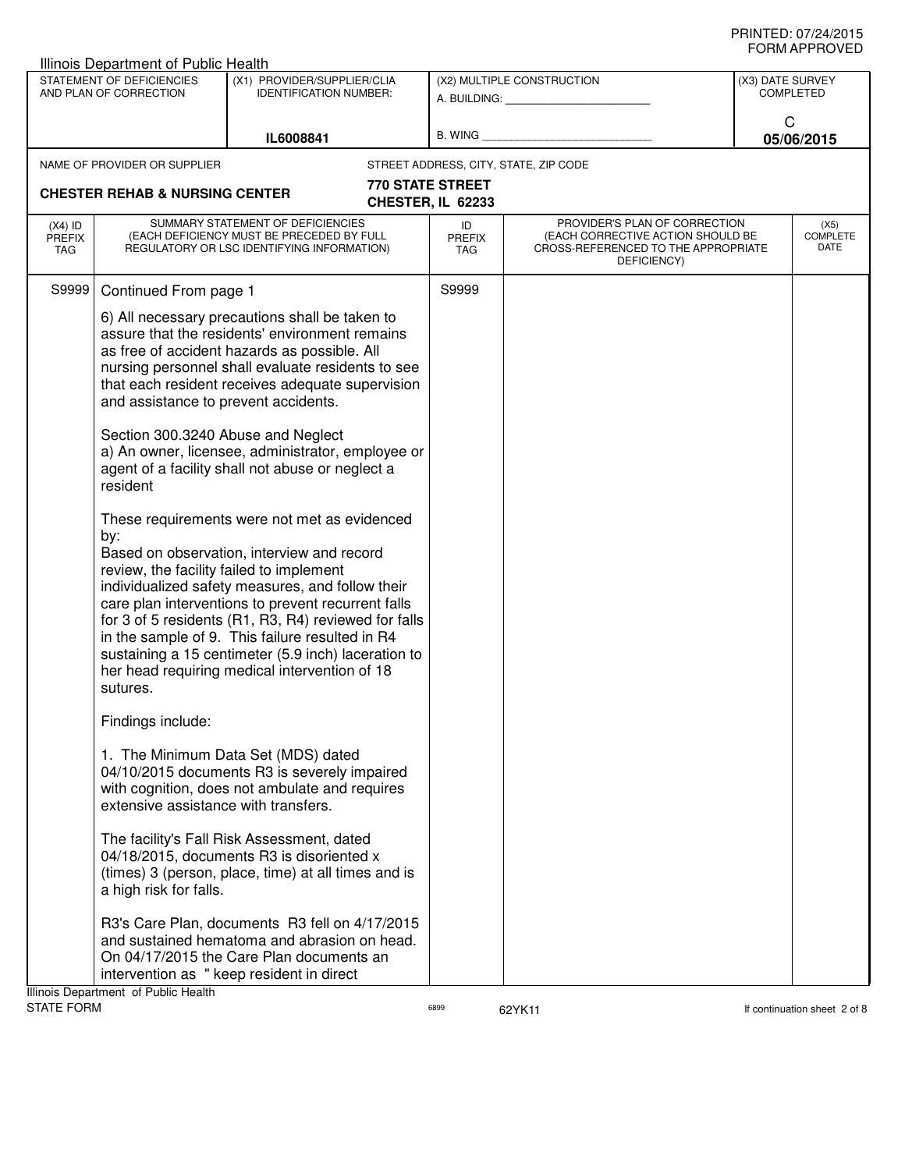| Illinois Department of Public Health     |                                                                                                                                                       |                                                                                                                                                                                                                                                                                                                                                                                                                                                                                                                                                                                                                                                                                                                                                                                               |                                       |                                                                                                                          |                  |                                 |  |
|------------------------------------------|-------------------------------------------------------------------------------------------------------------------------------------------------------|-----------------------------------------------------------------------------------------------------------------------------------------------------------------------------------------------------------------------------------------------------------------------------------------------------------------------------------------------------------------------------------------------------------------------------------------------------------------------------------------------------------------------------------------------------------------------------------------------------------------------------------------------------------------------------------------------------------------------------------------------------------------------------------------------|---------------------------------------|--------------------------------------------------------------------------------------------------------------------------|------------------|---------------------------------|--|
|                                          | STATEMENT OF DEFICIENCIES<br>AND PLAN OF CORRECTION                                                                                                   | (X1) PROVIDER/SUPPLIER/CLIA<br><b>IDENTIFICATION NUMBER:</b>                                                                                                                                                                                                                                                                                                                                                                                                                                                                                                                                                                                                                                                                                                                                  |                                       | (X2) MULTIPLE CONSTRUCTION<br>A. BUILDING: A. BUILDING:                                                                  | (X3) DATE SURVEY | <b>COMPLETED</b>                |  |
|                                          |                                                                                                                                                       | IL6008841                                                                                                                                                                                                                                                                                                                                                                                                                                                                                                                                                                                                                                                                                                                                                                                     | B. WING                               |                                                                                                                          | C                | 05/06/2015                      |  |
|                                          | NAME OF PROVIDER OR SUPPLIER                                                                                                                          |                                                                                                                                                                                                                                                                                                                                                                                                                                                                                                                                                                                                                                                                                                                                                                                               |                                       | STREET ADDRESS, CITY, STATE, ZIP CODE                                                                                    |                  |                                 |  |
|                                          | <b>CHESTER REHAB &amp; NURSING CENTER</b>                                                                                                             |                                                                                                                                                                                                                                                                                                                                                                                                                                                                                                                                                                                                                                                                                                                                                                                               | 770 STATE STREET<br>CHESTER, IL 62233 |                                                                                                                          |                  |                                 |  |
| $(X4)$ ID<br><b>PREFIX</b><br><b>TAG</b> |                                                                                                                                                       | SUMMARY STATEMENT OF DEFICIENCIES<br>(EACH DEFICIENCY MUST BE PRECEDED BY FULL<br>REGULATORY OR LSC IDENTIFYING INFORMATION)                                                                                                                                                                                                                                                                                                                                                                                                                                                                                                                                                                                                                                                                  | ID<br><b>PREFIX</b><br><b>TAG</b>     | PROVIDER'S PLAN OF CORRECTION<br>(EACH CORRECTIVE ACTION SHOULD BE<br>CROSS-REFERENCED TO THE APPROPRIATE<br>DEFICIENCY) |                  | (X5)<br><b>COMPLETE</b><br>DATE |  |
| S9999                                    | Continued From page 1                                                                                                                                 |                                                                                                                                                                                                                                                                                                                                                                                                                                                                                                                                                                                                                                                                                                                                                                                               | S9999                                 |                                                                                                                          |                  |                                 |  |
|                                          | and assistance to prevent accidents.<br>Section 300.3240 Abuse and Neglect<br>resident<br>by:<br>review, the facility failed to implement<br>sutures. | 6) All necessary precautions shall be taken to<br>assure that the residents' environment remains<br>as free of accident hazards as possible. All<br>nursing personnel shall evaluate residents to see<br>that each resident receives adequate supervision<br>a) An owner, licensee, administrator, employee or<br>agent of a facility shall not abuse or neglect a<br>These requirements were not met as evidenced<br>Based on observation, interview and record<br>individualized safety measures, and follow their<br>care plan interventions to prevent recurrent falls<br>for 3 of 5 residents (R1, R3, R4) reviewed for falls<br>in the sample of 9. This failure resulted in R4<br>sustaining a 15 centimeter (5.9 inch) laceration to<br>her head requiring medical intervention of 18 |                                       |                                                                                                                          |                  |                                 |  |
|                                          | Findings include:                                                                                                                                     |                                                                                                                                                                                                                                                                                                                                                                                                                                                                                                                                                                                                                                                                                                                                                                                               |                                       |                                                                                                                          |                  |                                 |  |
|                                          | extensive assistance with transfers.                                                                                                                  | 1. The Minimum Data Set (MDS) dated<br>04/10/2015 documents R3 is severely impaired<br>with cognition, does not ambulate and requires                                                                                                                                                                                                                                                                                                                                                                                                                                                                                                                                                                                                                                                         |                                       |                                                                                                                          |                  |                                 |  |
|                                          | a high risk for falls.                                                                                                                                | The facility's Fall Risk Assessment, dated<br>04/18/2015, documents R3 is disoriented x<br>(times) 3 (person, place, time) at all times and is                                                                                                                                                                                                                                                                                                                                                                                                                                                                                                                                                                                                                                                |                                       |                                                                                                                          |                  |                                 |  |
|                                          | Illinois Department of Public Health                                                                                                                  | R3's Care Plan, documents R3 fell on 4/17/2015<br>and sustained hematoma and abrasion on head.<br>On 04/17/2015 the Care Plan documents an<br>intervention as " keep resident in direct                                                                                                                                                                                                                                                                                                                                                                                                                                                                                                                                                                                                       |                                       |                                                                                                                          |                  |                                 |  |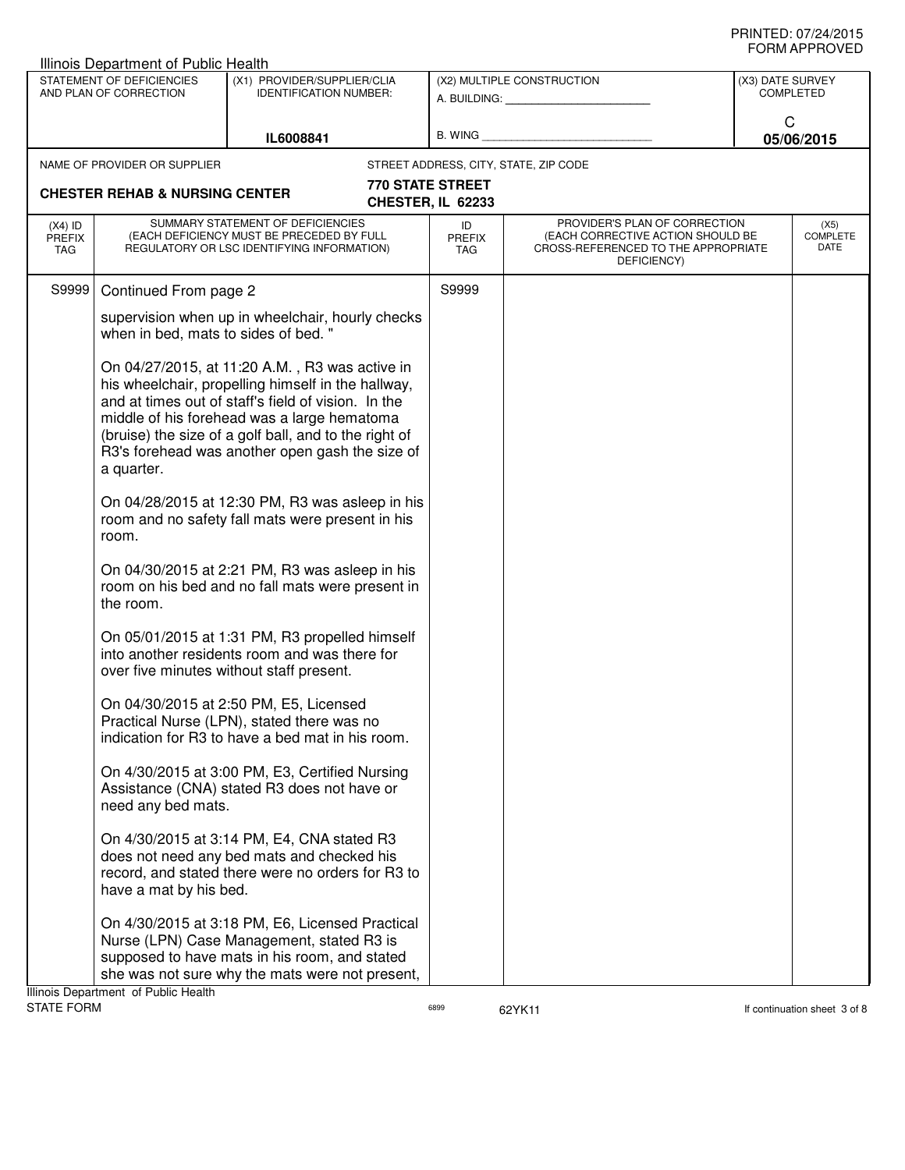|                                   | Illinois Department of Public Health                |                                                                                                                                                                                                                                                                                                                        |                                              |                                                                                                                          |                  |                          |  |
|-----------------------------------|-----------------------------------------------------|------------------------------------------------------------------------------------------------------------------------------------------------------------------------------------------------------------------------------------------------------------------------------------------------------------------------|----------------------------------------------|--------------------------------------------------------------------------------------------------------------------------|------------------|--------------------------|--|
|                                   | STATEMENT OF DEFICIENCIES<br>AND PLAN OF CORRECTION | (X1) PROVIDER/SUPPLIER/CLIA<br><b>IDENTIFICATION NUMBER:</b>                                                                                                                                                                                                                                                           |                                              | (X2) MULTIPLE CONSTRUCTION<br>A. BUILDING: A. BUILDING:                                                                  | (X3) DATE SURVEY | COMPLETED                |  |
|                                   |                                                     | IL6008841                                                                                                                                                                                                                                                                                                              | B. WING                                      |                                                                                                                          | C                | 05/06/2015               |  |
|                                   | NAME OF PROVIDER OR SUPPLIER                        |                                                                                                                                                                                                                                                                                                                        |                                              | STREET ADDRESS, CITY, STATE, ZIP CODE                                                                                    |                  |                          |  |
|                                   | <b>CHESTER REHAB &amp; NURSING CENTER</b>           |                                                                                                                                                                                                                                                                                                                        | <b>770 STATE STREET</b><br>CHESTER, IL 62233 |                                                                                                                          |                  |                          |  |
| $(X4)$ ID<br><b>PREFIX</b><br>TAG |                                                     | SUMMARY STATEMENT OF DEFICIENCIES<br>(EACH DEFICIENCY MUST BE PRECEDED BY FULL<br>REGULATORY OR LSC IDENTIFYING INFORMATION)                                                                                                                                                                                           | ID<br><b>PREFIX</b><br>TAG                   | PROVIDER'S PLAN OF CORRECTION<br>(EACH CORRECTIVE ACTION SHOULD BE<br>CROSS-REFERENCED TO THE APPROPRIATE<br>DEFICIENCY) |                  | (X5)<br>COMPLETE<br>DATE |  |
| S9999                             | Continued From page 2                               |                                                                                                                                                                                                                                                                                                                        | S9999                                        |                                                                                                                          |                  |                          |  |
|                                   | when in bed, mats to sides of bed."                 | supervision when up in wheelchair, hourly checks                                                                                                                                                                                                                                                                       |                                              |                                                                                                                          |                  |                          |  |
|                                   | a quarter.                                          | On 04/27/2015, at 11:20 A.M., R3 was active in<br>his wheelchair, propelling himself in the hallway,<br>and at times out of staff's field of vision. In the<br>middle of his forehead was a large hematoma<br>(bruise) the size of a golf ball, and to the right of<br>R3's forehead was another open gash the size of |                                              |                                                                                                                          |                  |                          |  |
|                                   | room.                                               | On 04/28/2015 at 12:30 PM, R3 was asleep in his<br>room and no safety fall mats were present in his                                                                                                                                                                                                                    |                                              |                                                                                                                          |                  |                          |  |
|                                   | the room.                                           | On 04/30/2015 at 2:21 PM, R3 was asleep in his<br>room on his bed and no fall mats were present in                                                                                                                                                                                                                     |                                              |                                                                                                                          |                  |                          |  |
|                                   |                                                     | On 05/01/2015 at 1:31 PM, R3 propelled himself<br>into another residents room and was there for<br>over five minutes without staff present.                                                                                                                                                                            |                                              |                                                                                                                          |                  |                          |  |
|                                   |                                                     | On 04/30/2015 at 2:50 PM, E5, Licensed<br>Practical Nurse (LPN), stated there was no<br>indication for R3 to have a bed mat in his room.                                                                                                                                                                               |                                              |                                                                                                                          |                  |                          |  |
|                                   | need any bed mats.                                  | On 4/30/2015 at 3:00 PM, E3, Certified Nursing<br>Assistance (CNA) stated R3 does not have or                                                                                                                                                                                                                          |                                              |                                                                                                                          |                  |                          |  |
|                                   | have a mat by his bed.                              | On 4/30/2015 at 3:14 PM, E4, CNA stated R3<br>does not need any bed mats and checked his<br>record, and stated there were no orders for R3 to                                                                                                                                                                          |                                              |                                                                                                                          |                  |                          |  |
|                                   | Illinois Department of Public Health                | On 4/30/2015 at 3:18 PM, E6, Licensed Practical<br>Nurse (LPN) Case Management, stated R3 is<br>supposed to have mats in his room, and stated<br>she was not sure why the mats were not present,                                                                                                                       |                                              |                                                                                                                          |                  |                          |  |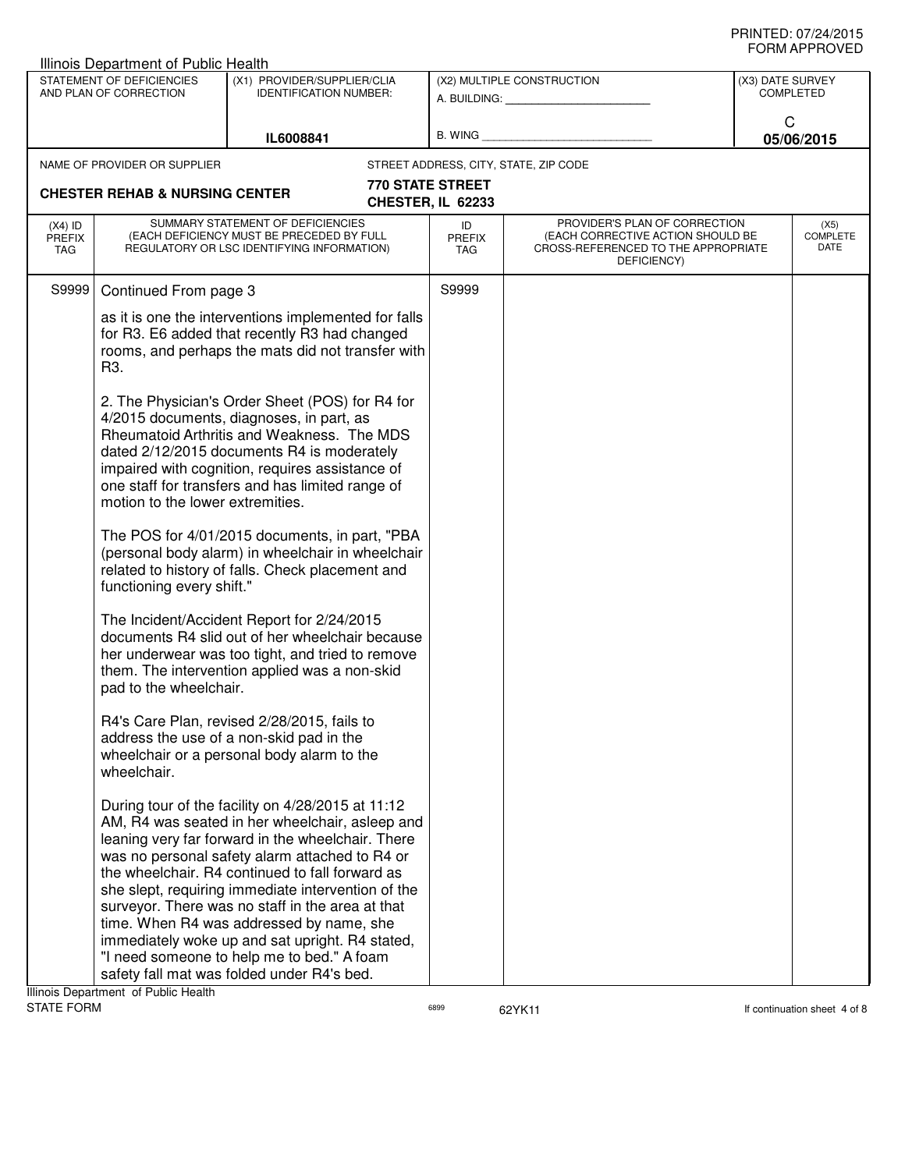|                                   | Illinois Department of Public Health                |                                                                                                                                                                                                                                                                                                                                                                                                                                                                                                                                                                     |                                       |                                                                                                                          |                                      |                          |
|-----------------------------------|-----------------------------------------------------|---------------------------------------------------------------------------------------------------------------------------------------------------------------------------------------------------------------------------------------------------------------------------------------------------------------------------------------------------------------------------------------------------------------------------------------------------------------------------------------------------------------------------------------------------------------------|---------------------------------------|--------------------------------------------------------------------------------------------------------------------------|--------------------------------------|--------------------------|
|                                   | STATEMENT OF DEFICIENCIES<br>AND PLAN OF CORRECTION | (X1) PROVIDER/SUPPLIER/CLIA<br><b>IDENTIFICATION NUMBER:</b>                                                                                                                                                                                                                                                                                                                                                                                                                                                                                                        |                                       | (X2) MULTIPLE CONSTRUCTION                                                                                               | (X3) DATE SURVEY<br><b>COMPLETED</b> |                          |
|                                   |                                                     | IL6008841                                                                                                                                                                                                                                                                                                                                                                                                                                                                                                                                                           |                                       | B. WING <b>Example 2008</b>                                                                                              | C<br>05/06/2015                      |                          |
|                                   | NAME OF PROVIDER OR SUPPLIER                        |                                                                                                                                                                                                                                                                                                                                                                                                                                                                                                                                                                     |                                       | STREET ADDRESS, CITY, STATE, ZIP CODE                                                                                    |                                      |                          |
|                                   | <b>CHESTER REHAB &amp; NURSING CENTER</b>           |                                                                                                                                                                                                                                                                                                                                                                                                                                                                                                                                                                     | 770 STATE STREET<br>CHESTER, IL 62233 |                                                                                                                          |                                      |                          |
| $(X4)$ ID<br><b>PREFIX</b><br>TAG |                                                     | SUMMARY STATEMENT OF DEFICIENCIES<br>(EACH DEFICIENCY MUST BE PRECEDED BY FULL<br>REGULATORY OR LSC IDENTIFYING INFORMATION)                                                                                                                                                                                                                                                                                                                                                                                                                                        | ID<br>PREFIX<br>TAG                   | PROVIDER'S PLAN OF CORRECTION<br>(EACH CORRECTIVE ACTION SHOULD BE<br>CROSS-REFERENCED TO THE APPROPRIATE<br>DEFICIENCY) |                                      | (X5)<br>COMPLETE<br>DATE |
| S9999                             | Continued From page 3                               |                                                                                                                                                                                                                                                                                                                                                                                                                                                                                                                                                                     | S9999                                 |                                                                                                                          |                                      |                          |
|                                   | R3.                                                 | as it is one the interventions implemented for falls<br>for R3. E6 added that recently R3 had changed<br>rooms, and perhaps the mats did not transfer with                                                                                                                                                                                                                                                                                                                                                                                                          |                                       |                                                                                                                          |                                      |                          |
|                                   | motion to the lower extremities.                    | 2. The Physician's Order Sheet (POS) for R4 for<br>4/2015 documents, diagnoses, in part, as<br>Rheumatoid Arthritis and Weakness. The MDS<br>dated 2/12/2015 documents R4 is moderately<br>impaired with cognition, requires assistance of<br>one staff for transfers and has limited range of                                                                                                                                                                                                                                                                      |                                       |                                                                                                                          |                                      |                          |
|                                   | functioning every shift."                           | The POS for 4/01/2015 documents, in part, "PBA<br>(personal body alarm) in wheelchair in wheelchair<br>related to history of falls. Check placement and                                                                                                                                                                                                                                                                                                                                                                                                             |                                       |                                                                                                                          |                                      |                          |
|                                   | pad to the wheelchair.                              | The Incident/Accident Report for 2/24/2015<br>documents R4 slid out of her wheelchair because<br>her underwear was too tight, and tried to remove<br>them. The intervention applied was a non-skid                                                                                                                                                                                                                                                                                                                                                                  |                                       |                                                                                                                          |                                      |                          |
|                                   | wheelchair.                                         | R4's Care Plan, revised 2/28/2015, fails to<br>address the use of a non-skid pad in the<br>wheelchair or a personal body alarm to the                                                                                                                                                                                                                                                                                                                                                                                                                               |                                       |                                                                                                                          |                                      |                          |
|                                   |                                                     | During tour of the facility on 4/28/2015 at 11:12<br>AM, R4 was seated in her wheelchair, asleep and<br>leaning very far forward in the wheelchair. There<br>was no personal safety alarm attached to R4 or<br>the wheelchair. R4 continued to fall forward as<br>she slept, requiring immediate intervention of the<br>surveyor. There was no staff in the area at that<br>time. When R4 was addressed by name, she<br>immediately woke up and sat upright. R4 stated,<br>"I need someone to help me to bed." A foam<br>safety fall mat was folded under R4's bed. |                                       |                                                                                                                          |                                      |                          |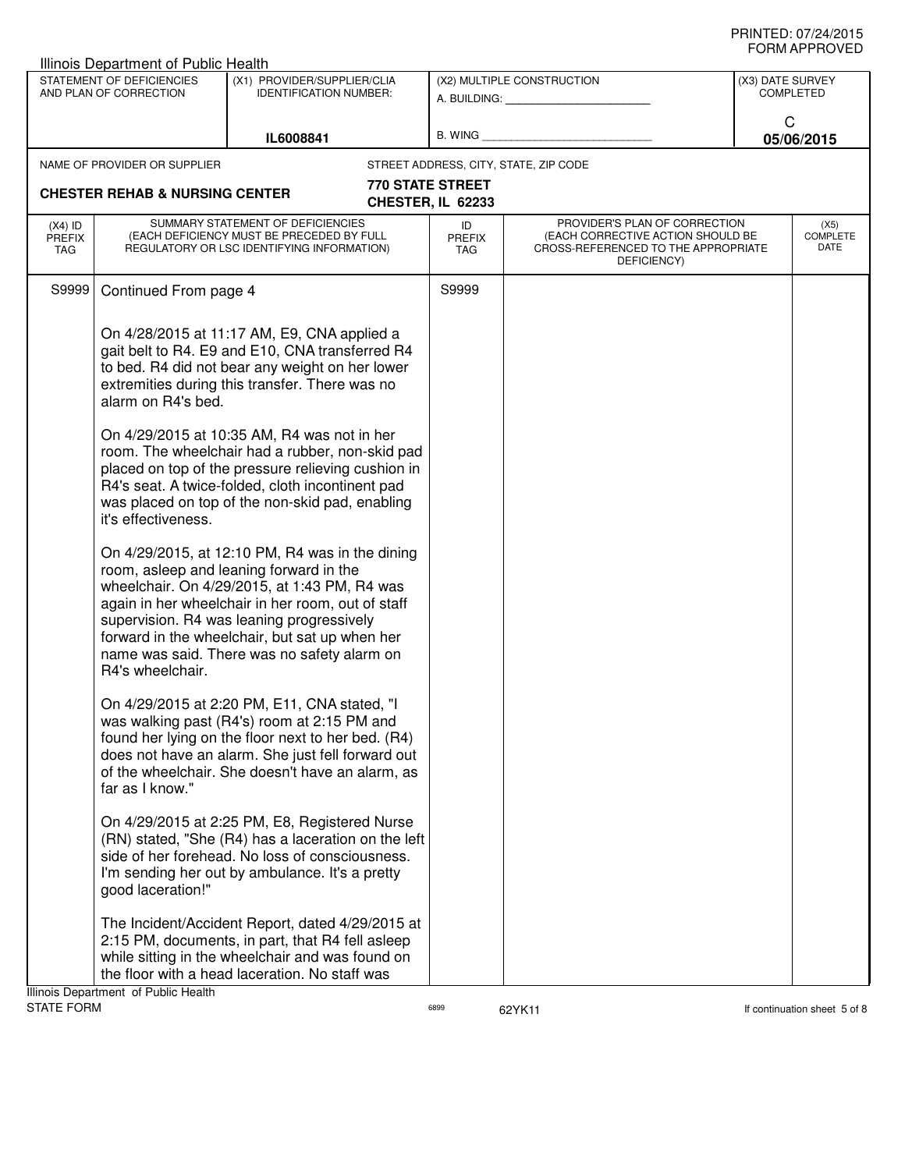| Illinois Department of Public Health                |                                                               |                                                                                                                                                                                                                                                                                                                                                                                                                                                                                                                                                                                                                                                                                                                                                                                                                     |                                              |                                                                                                                          |                  |                                 |
|-----------------------------------------------------|---------------------------------------------------------------|---------------------------------------------------------------------------------------------------------------------------------------------------------------------------------------------------------------------------------------------------------------------------------------------------------------------------------------------------------------------------------------------------------------------------------------------------------------------------------------------------------------------------------------------------------------------------------------------------------------------------------------------------------------------------------------------------------------------------------------------------------------------------------------------------------------------|----------------------------------------------|--------------------------------------------------------------------------------------------------------------------------|------------------|---------------------------------|
| STATEMENT OF DEFICIENCIES<br>AND PLAN OF CORRECTION |                                                               | (X1) PROVIDER/SUPPLIER/CLIA<br><b>IDENTIFICATION NUMBER:</b>                                                                                                                                                                                                                                                                                                                                                                                                                                                                                                                                                                                                                                                                                                                                                        |                                              | (X2) MULTIPLE CONSTRUCTION<br>A. BUILDING: A. BUILDING:                                                                  | (X3) DATE SURVEY | <b>COMPLETED</b>                |
|                                                     |                                                               | IL6008841                                                                                                                                                                                                                                                                                                                                                                                                                                                                                                                                                                                                                                                                                                                                                                                                           | B. WING                                      |                                                                                                                          | C                | 05/06/2015                      |
|                                                     | NAME OF PROVIDER OR SUPPLIER                                  |                                                                                                                                                                                                                                                                                                                                                                                                                                                                                                                                                                                                                                                                                                                                                                                                                     |                                              | STREET ADDRESS, CITY, STATE, ZIP CODE                                                                                    |                  |                                 |
|                                                     | <b>CHESTER REHAB &amp; NURSING CENTER</b>                     |                                                                                                                                                                                                                                                                                                                                                                                                                                                                                                                                                                                                                                                                                                                                                                                                                     | <b>770 STATE STREET</b><br>CHESTER, IL 62233 |                                                                                                                          |                  |                                 |
| $(X4)$ ID<br><b>PREFIX</b><br>TAG                   |                                                               | SUMMARY STATEMENT OF DEFICIENCIES<br>(EACH DEFICIENCY MUST BE PRECEDED BY FULL<br>REGULATORY OR LSC IDENTIFYING INFORMATION)                                                                                                                                                                                                                                                                                                                                                                                                                                                                                                                                                                                                                                                                                        | ID<br><b>PREFIX</b><br>TAG                   | PROVIDER'S PLAN OF CORRECTION<br>(EACH CORRECTIVE ACTION SHOULD BE<br>CROSS-REFERENCED TO THE APPROPRIATE<br>DEFICIENCY) |                  | (X5)<br><b>COMPLETE</b><br>DATE |
| S9999                                               | Continued From page 4                                         |                                                                                                                                                                                                                                                                                                                                                                                                                                                                                                                                                                                                                                                                                                                                                                                                                     | S9999                                        |                                                                                                                          |                  |                                 |
|                                                     | alarm on R4's bed.<br>it's effectiveness.<br>R4's wheelchair. | On 4/28/2015 at 11:17 AM, E9, CNA applied a<br>gait belt to R4. E9 and E10, CNA transferred R4<br>to bed. R4 did not bear any weight on her lower<br>extremities during this transfer. There was no<br>On 4/29/2015 at 10:35 AM, R4 was not in her<br>room. The wheelchair had a rubber, non-skid pad<br>placed on top of the pressure relieving cushion in<br>R4's seat. A twice-folded, cloth incontinent pad<br>was placed on top of the non-skid pad, enabling<br>On 4/29/2015, at 12:10 PM, R4 was in the dining<br>room, asleep and leaning forward in the<br>wheelchair. On 4/29/2015, at 1:43 PM, R4 was<br>again in her wheelchair in her room, out of staff<br>supervision. R4 was leaning progressively<br>forward in the wheelchair, but sat up when her<br>name was said. There was no safety alarm on |                                              |                                                                                                                          |                  |                                 |
|                                                     | far as I know."<br>good laceration!"                          | On 4/29/2015 at 2:20 PM, E11, CNA stated, "I<br>was walking past (R4's) room at 2:15 PM and<br>found her lying on the floor next to her bed. (R4)<br>does not have an alarm. She just fell forward out<br>of the wheelchair. She doesn't have an alarm, as<br>On 4/29/2015 at 2:25 PM, E8, Registered Nurse<br>(RN) stated, "She (R4) has a laceration on the left<br>side of her forehead. No loss of consciousness.<br>I'm sending her out by ambulance. It's a pretty<br>The Incident/Accident Report, dated 4/29/2015 at<br>2:15 PM, documents, in part, that R4 fell asleep<br>while sitting in the wheelchair and was found on<br>the floor with a head laceration. No staff was                                                                                                                              |                                              |                                                                                                                          |                  |                                 |
|                                                     | Illinois Department of Public Health                          |                                                                                                                                                                                                                                                                                                                                                                                                                                                                                                                                                                                                                                                                                                                                                                                                                     |                                              |                                                                                                                          |                  |                                 |

STATE FORM **6899** 6899 6899 62YK11 6899 62YK11 **6899** 62YK11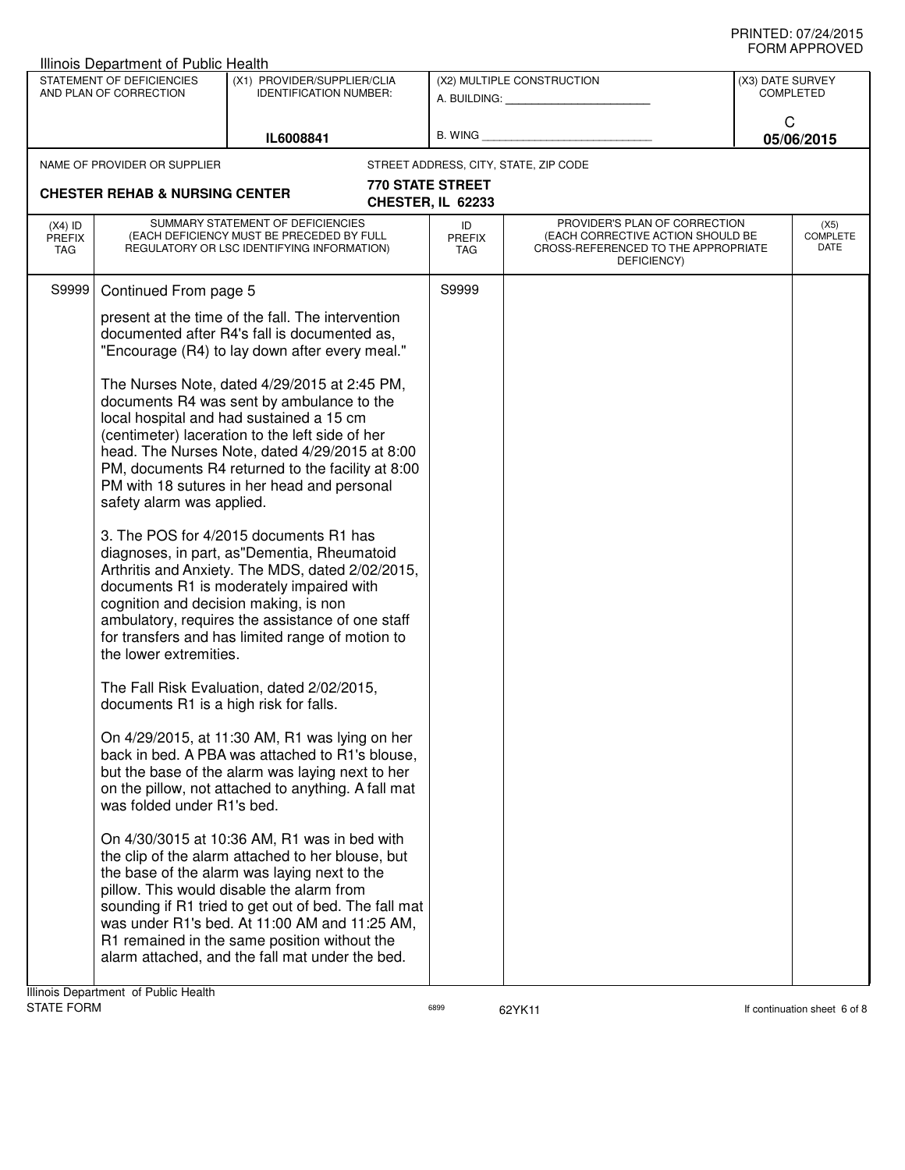| Illinois Department of Public Health |                                                                 |                                                                                                                                                                                                                                                                                                                                                                                                            |                                              |                                                                                                                          |                  |                                 |  |
|--------------------------------------|-----------------------------------------------------------------|------------------------------------------------------------------------------------------------------------------------------------------------------------------------------------------------------------------------------------------------------------------------------------------------------------------------------------------------------------------------------------------------------------|----------------------------------------------|--------------------------------------------------------------------------------------------------------------------------|------------------|---------------------------------|--|
|                                      | STATEMENT OF DEFICIENCIES<br>AND PLAN OF CORRECTION             | (X1) PROVIDER/SUPPLIER/CLIA<br><b>IDENTIFICATION NUMBER:</b>                                                                                                                                                                                                                                                                                                                                               |                                              | (X2) MULTIPLE CONSTRUCTION<br>A. BUILDING: A. BUILDING:                                                                  | (X3) DATE SURVEY | <b>COMPLETED</b>                |  |
|                                      |                                                                 | IL6008841                                                                                                                                                                                                                                                                                                                                                                                                  | <b>B. WING</b>                               |                                                                                                                          | C                | 05/06/2015                      |  |
|                                      | NAME OF PROVIDER OR SUPPLIER                                    |                                                                                                                                                                                                                                                                                                                                                                                                            | STREET ADDRESS, CITY, STATE, ZIP CODE        |                                                                                                                          |                  |                                 |  |
|                                      | <b>CHESTER REHAB &amp; NURSING CENTER</b>                       |                                                                                                                                                                                                                                                                                                                                                                                                            | <b>770 STATE STREET</b><br>CHESTER, IL 62233 |                                                                                                                          |                  |                                 |  |
| $(X4)$ ID<br><b>PREFIX</b><br>TAG    |                                                                 | SUMMARY STATEMENT OF DEFICIENCIES<br>(EACH DEFICIENCY MUST BE PRECEDED BY FULL<br>REGULATORY OR LSC IDENTIFYING INFORMATION)                                                                                                                                                                                                                                                                               | ID<br><b>PREFIX</b><br>TAG                   | PROVIDER'S PLAN OF CORRECTION<br>(EACH CORRECTIVE ACTION SHOULD BE<br>CROSS-REFERENCED TO THE APPROPRIATE<br>DEFICIENCY) |                  | (X5)<br><b>COMPLETE</b><br>DATE |  |
| S9999                                | Continued From page 5                                           |                                                                                                                                                                                                                                                                                                                                                                                                            | S9999                                        |                                                                                                                          |                  |                                 |  |
|                                      |                                                                 | present at the time of the fall. The intervention<br>documented after R4's fall is documented as,<br>"Encourage (R4) to lay down after every meal."                                                                                                                                                                                                                                                        |                                              |                                                                                                                          |                  |                                 |  |
|                                      | safety alarm was applied.                                       | The Nurses Note, dated 4/29/2015 at 2:45 PM,<br>documents R4 was sent by ambulance to the<br>local hospital and had sustained a 15 cm<br>(centimeter) laceration to the left side of her<br>head. The Nurses Note, dated 4/29/2015 at 8:00<br>PM, documents R4 returned to the facility at 8:00<br>PM with 18 sutures in her head and personal                                                             |                                              |                                                                                                                          |                  |                                 |  |
|                                      | cognition and decision making, is non<br>the lower extremities. | 3. The POS for 4/2015 documents R1 has<br>diagnoses, in part, as"Dementia, Rheumatoid<br>Arthritis and Anxiety. The MDS, dated 2/02/2015,<br>documents R1 is moderately impaired with<br>ambulatory, requires the assistance of one staff<br>for transfers and has limited range of motion to                                                                                                              |                                              |                                                                                                                          |                  |                                 |  |
|                                      | documents R1 is a high risk for falls.                          | The Fall Risk Evaluation, dated 2/02/2015,                                                                                                                                                                                                                                                                                                                                                                 |                                              |                                                                                                                          |                  |                                 |  |
|                                      | was folded under R1's bed.                                      | On 4/29/2015, at 11:30 AM, R1 was lying on her<br>back in bed. A PBA was attached to R1's blouse,<br>but the base of the alarm was laying next to her<br>on the pillow, not attached to anything. A fall mat                                                                                                                                                                                               |                                              |                                                                                                                          |                  |                                 |  |
|                                      |                                                                 | On 4/30/3015 at 10:36 AM, R1 was in bed with<br>the clip of the alarm attached to her blouse, but<br>the base of the alarm was laying next to the<br>pillow. This would disable the alarm from<br>sounding if R1 tried to get out of bed. The fall mat<br>was under R1's bed. At 11:00 AM and 11:25 AM,<br>R1 remained in the same position without the<br>alarm attached, and the fall mat under the bed. |                                              |                                                                                                                          |                  |                                 |  |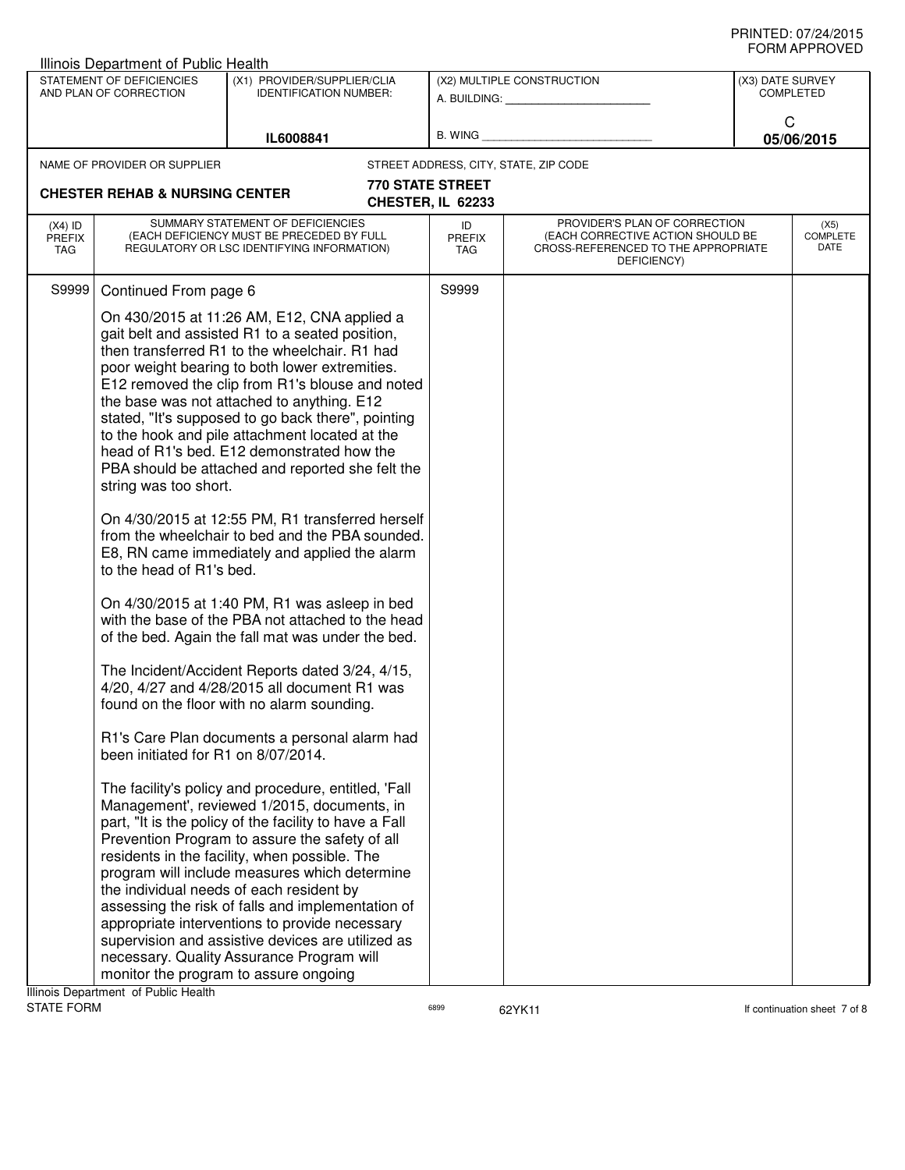|                                          | Illinois Department of Public Health                                                     |                                                                                                                                                                                                                                                                                                                                                                                                                                                                                                                                                                                                                                                                                                                                                                                                                                                                                                                                                                                                                                                                                                                                                                                                                                                                                                                                                                                                                                                                                                                                                                                                                                                      |                                       |                                                                                                                          |                                      |                          |
|------------------------------------------|------------------------------------------------------------------------------------------|------------------------------------------------------------------------------------------------------------------------------------------------------------------------------------------------------------------------------------------------------------------------------------------------------------------------------------------------------------------------------------------------------------------------------------------------------------------------------------------------------------------------------------------------------------------------------------------------------------------------------------------------------------------------------------------------------------------------------------------------------------------------------------------------------------------------------------------------------------------------------------------------------------------------------------------------------------------------------------------------------------------------------------------------------------------------------------------------------------------------------------------------------------------------------------------------------------------------------------------------------------------------------------------------------------------------------------------------------------------------------------------------------------------------------------------------------------------------------------------------------------------------------------------------------------------------------------------------------------------------------------------------------|---------------------------------------|--------------------------------------------------------------------------------------------------------------------------|--------------------------------------|--------------------------|
|                                          | STATEMENT OF DEFICIENCIES<br>AND PLAN OF CORRECTION                                      | (X1) PROVIDER/SUPPLIER/CLIA<br><b>IDENTIFICATION NUMBER:</b>                                                                                                                                                                                                                                                                                                                                                                                                                                                                                                                                                                                                                                                                                                                                                                                                                                                                                                                                                                                                                                                                                                                                                                                                                                                                                                                                                                                                                                                                                                                                                                                         |                                       | (X2) MULTIPLE CONSTRUCTION                                                                                               | (X3) DATE SURVEY<br><b>COMPLETED</b> |                          |
|                                          |                                                                                          | IL6008841                                                                                                                                                                                                                                                                                                                                                                                                                                                                                                                                                                                                                                                                                                                                                                                                                                                                                                                                                                                                                                                                                                                                                                                                                                                                                                                                                                                                                                                                                                                                                                                                                                            |                                       | B. WING <b>Example 2008</b>                                                                                              | C<br>05/06/2015                      |                          |
|                                          | NAME OF PROVIDER OR SUPPLIER<br><b>CHESTER REHAB &amp; NURSING CENTER</b>                |                                                                                                                                                                                                                                                                                                                                                                                                                                                                                                                                                                                                                                                                                                                                                                                                                                                                                                                                                                                                                                                                                                                                                                                                                                                                                                                                                                                                                                                                                                                                                                                                                                                      | 770 STATE STREET<br>CHESTER, IL 62233 | STREET ADDRESS, CITY, STATE, ZIP CODE                                                                                    |                                      |                          |
| $(X4)$ ID<br><b>PREFIX</b><br><b>TAG</b> |                                                                                          | SUMMARY STATEMENT OF DEFICIENCIES<br>(EACH DEFICIENCY MUST BE PRECEDED BY FULL<br>REGULATORY OR LSC IDENTIFYING INFORMATION)                                                                                                                                                                                                                                                                                                                                                                                                                                                                                                                                                                                                                                                                                                                                                                                                                                                                                                                                                                                                                                                                                                                                                                                                                                                                                                                                                                                                                                                                                                                         | ID<br><b>PREFIX</b><br>TAG            | PROVIDER'S PLAN OF CORRECTION<br>(EACH CORRECTIVE ACTION SHOULD BE<br>CROSS-REFERENCED TO THE APPROPRIATE<br>DEFICIENCY) |                                      | (X5)<br>COMPLETE<br>DATE |
| S9999                                    | Continued From page 6                                                                    |                                                                                                                                                                                                                                                                                                                                                                                                                                                                                                                                                                                                                                                                                                                                                                                                                                                                                                                                                                                                                                                                                                                                                                                                                                                                                                                                                                                                                                                                                                                                                                                                                                                      | S9999                                 |                                                                                                                          |                                      |                          |
|                                          | string was too short.<br>to the head of R1's bed.<br>been initiated for R1 on 8/07/2014. | On 430/2015 at 11:26 AM, E12, CNA applied a<br>gait belt and assisted R1 to a seated position,<br>then transferred R1 to the wheelchair. R1 had<br>poor weight bearing to both lower extremities.<br>E12 removed the clip from R1's blouse and noted<br>the base was not attached to anything. E12<br>stated, "It's supposed to go back there", pointing<br>to the hook and pile attachment located at the<br>head of R1's bed. E12 demonstrated how the<br>PBA should be attached and reported she felt the<br>On 4/30/2015 at 12:55 PM, R1 transferred herself<br>from the wheelchair to bed and the PBA sounded.<br>E8, RN came immediately and applied the alarm<br>On 4/30/2015 at 1:40 PM, R1 was asleep in bed<br>with the base of the PBA not attached to the head<br>of the bed. Again the fall mat was under the bed.<br>The Incident/Accident Reports dated 3/24, 4/15,<br>4/20, 4/27 and 4/28/2015 all document R1 was<br>found on the floor with no alarm sounding.<br>R1's Care Plan documents a personal alarm had<br>The facility's policy and procedure, entitled, 'Fall<br>Management', reviewed 1/2015, documents, in<br>part, "It is the policy of the facility to have a Fall<br>Prevention Program to assure the safety of all<br>residents in the facility, when possible. The<br>program will include measures which determine<br>the individual needs of each resident by<br>assessing the risk of falls and implementation of<br>appropriate interventions to provide necessary<br>supervision and assistive devices are utilized as<br>necessary. Quality Assurance Program will<br>monitor the program to assure ongoing |                                       |                                                                                                                          |                                      |                          |